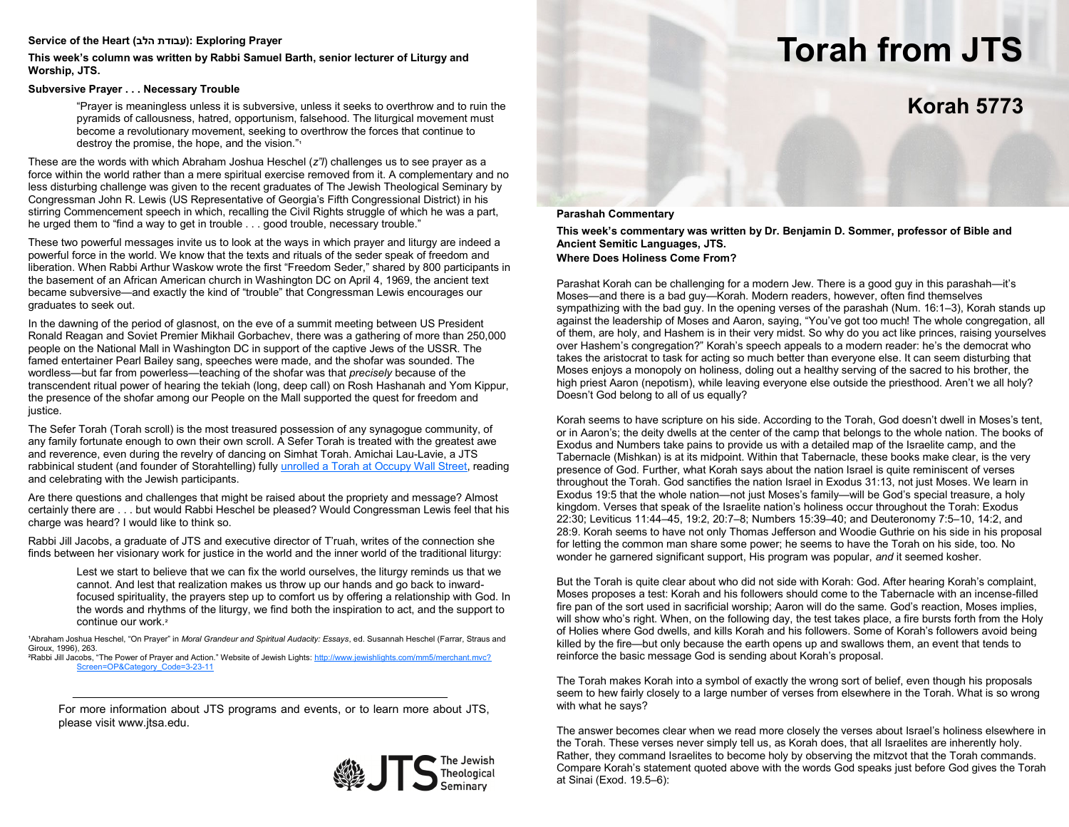### Service of the Heart (עבודת הלב): Exploring Prayer

**This week's column was written by Rabbi Samuel Barth, senior lecturer of Liturgy and Worship, JTS.**

## **Subversive Prayer . . . Necessary Trouble**

"Prayer is meaningless unless it is subversive, unless it seeks to overthrow and to ruin the pyramids of callousness, hatred, opportunism, falsehood. The liturgical movement must become a revolutionary movement, seeking to overthrow the forces that continue to destroy the promise, the hope, and the vision."<sup>1</sup>

These are the words with which Abraham Joshua Heschel (*z"l*) challenges us to see prayer as a force within the world rather than a mere spiritual exercise removed from it. A complementary and no less disturbing challenge was given to the recent graduates of The Jewish Theological Seminary by Congressman John R. Lewis (US Representative of Georgia's Fifth Congressional District) in his stirring Commencement speech in which, recalling the Civil Rights struggle of which he was a part, he urged them to "find a way to get in trouble . . . good trouble, necessary trouble."

These two powerful messages invite us to look at the ways in which prayer and liturgy are indeed a powerful force in the world. We know that the texts and rituals of the seder speak of freedom and liberation. When Rabbi Arthur Waskow wrote the first "Freedom Seder," shared by 800 participants in the basement of an African American church in Washington DC on April 4, 1969, the ancient text became subversive—and exactly the kind of "trouble" that Congressman Lewis encourages our graduates to seek out.

In the dawning of the period of glasnost, on the eve of a summit meeting between US President Ronald Reagan and Soviet Premier Mikhail Gorbachev, there was a gathering of more than 250,000 people on the National Mall in Washington DC in support of the captive Jews of the USSR. The famed entertainer Pearl Bailey sang, speeches were made, and the shofar was sounded. The wordless—but far from powerless—teaching of the shofar was that *precisely* because of the transcendent ritual power of hearing the tekiah (long, deep call) on Rosh Hashanah and Yom Kippur, the presence of the shofar among our People on the Mall supported the quest for freedom and justice.

The Sefer Torah (Torah scroll) is the most treasured possession of any synagogue community, of any family fortunate enough to own their own scroll. A Sefer Torah is treated with the greatest awe and reverence, even during the revelry of dancing on Simhat Torah. Amichai Lau-Lavie, a JTS rabbinical student (and founder of Storahtelling) fully [unrolled a Torah at Occupy Wall Street,](http://www.youtube.com/watch?v=_DUQR67NbTk&list=PL0FE422107CE1C9F2) reading and celebrating with the Jewish participants.

Are there questions and challenges that might be raised about the propriety and message? Almost certainly there are . . . but would Rabbi Heschel be pleased? Would Congressman Lewis feel that his charge was heard? I would like to think so.

Rabbi Jill Jacobs, a graduate of JTS and executive director of T'ruah, writes of the connection she finds between her visionary work for justice in the world and the inner world of the traditional liturgy:

Lest we start to believe that we can fix the world ourselves, the liturgy reminds us that we cannot. And lest that realization makes us throw up our hands and go back to inwardfocused spirituality, the prayers step up to comfort us by offering a relationship with God. In the words and rhythms of the liturgy, we find both the inspiration to act, and the support to continue our work.²

1Abraham Joshua Heschel, "On Prayer" in Moral Grandeur and Spiritual Audacity: Essays, ed. Susannah Heschel (Farrar, Straus and Giroux, 1996), 263.

²Rabbi Jill Jacobs, "The Power of Prayer and Action." Website of Jewish Lights: [http://www.jewishlights.com/mm5/merchant.mvc?](http://www.jewishlights.com/mm5/merchant.mvc?Screen=OP&Category_Code=3-23-11) [Screen=OP&Category\\_Code=3](http://www.jewishlights.com/mm5/merchant.mvc?Screen=OP&Category_Code=3-23-11)-23-11

For more information about JTS programs and events, or to learn more about JTS, please visit www.jtsa.edu.



# **Torah from JTS**

## **Korah 5773**

### **Parashah Commentary**

**This week's commentary was written by Dr. Benjamin D. Sommer, professor of Bible and Ancient Semitic Languages, JTS. Where Does Holiness Come From?**

Parashat Korah can be challenging for a modern Jew. There is a good guy in this parashah—it's Moses—and there is a bad guy—Korah. Modern readers, however, often find themselves sympathizing with the bad guy. In the opening verses of the parashah (Num. 16:1–3), Korah stands up against the leadership of Moses and Aaron, saying, "You've got too much! The whole congregation, all of them, are holy, and Hashem is in their very midst. So why do you act like princes, raising yourselves over Hashem's congregation?" Korah's speech appeals to a modern reader: he's the democrat who takes the aristocrat to task for acting so much better than everyone else. It can seem disturbing that Moses enjoys a monopoly on holiness, doling out a healthy serving of the sacred to his brother, the high priest Aaron (nepotism), while leaving everyone else outside the priesthood. Aren't we all holy? Doesn't God belong to all of us equally?

Korah seems to have scripture on his side. According to the Torah, God doesn't dwell in Moses's tent, or in Aaron's; the deity dwells at the center of the camp that belongs to the whole nation. The books of Exodus and Numbers take pains to provide us with a detailed map of the Israelite camp, and the Tabernacle (Mishkan) is at its midpoint. Within that Tabernacle, these books make clear, is the very presence of God. Further, what Korah says about the nation Israel is quite reminiscent of verses throughout the Torah. God sanctifies the nation Israel in Exodus 31:13, not just Moses. We learn in Exodus 19:5 that the whole nation—not just Moses's family—will be God's special treasure, a holy kingdom. Verses that speak of the Israelite nation's holiness occur throughout the Torah: Exodus 22:30; Leviticus 11:44–45, 19:2, 20:7–8; Numbers 15:39–40; and Deuteronomy 7:5–10, 14:2, and 28:9. Korah seems to have not only Thomas Jefferson and Woodie Guthrie on his side in his proposal for letting the common man share some power; he seems to have the Torah on his side, too. No wonder he garnered significant support, His program was popular, *and* it seemed kosher.

But the Torah is quite clear about who did not side with Korah: God. After hearing Korah's complaint, Moses proposes a test: Korah and his followers should come to the Tabernacle with an incense-filled fire pan of the sort used in sacrificial worship; Aaron will do the same. God's reaction, Moses implies, will show who's right. When, on the following day, the test takes place, a fire bursts forth from the Holy of Holies where God dwells, and kills Korah and his followers. Some of Korah's followers avoid being killed by the fire—but only because the earth opens up and swallows them, an event that tends to reinforce the basic message God is sending about Korah's proposal.

The Torah makes Korah into a symbol of exactly the wrong sort of belief, even though his proposals seem to hew fairly closely to a large number of verses from elsewhere in the Torah. What is so wrong with what he says?

The answer becomes clear when we read more closely the verses about Israel's holiness elsewhere in the Torah. These verses never simply tell us, as Korah does, that all Israelites are inherently holy. Rather, they command Israelites to become holy by observing the mitzvot that the Torah commands. Compare Korah's statement quoted above with the words God speaks just before God gives the Torah at Sinai (Exod. 19.5–6):